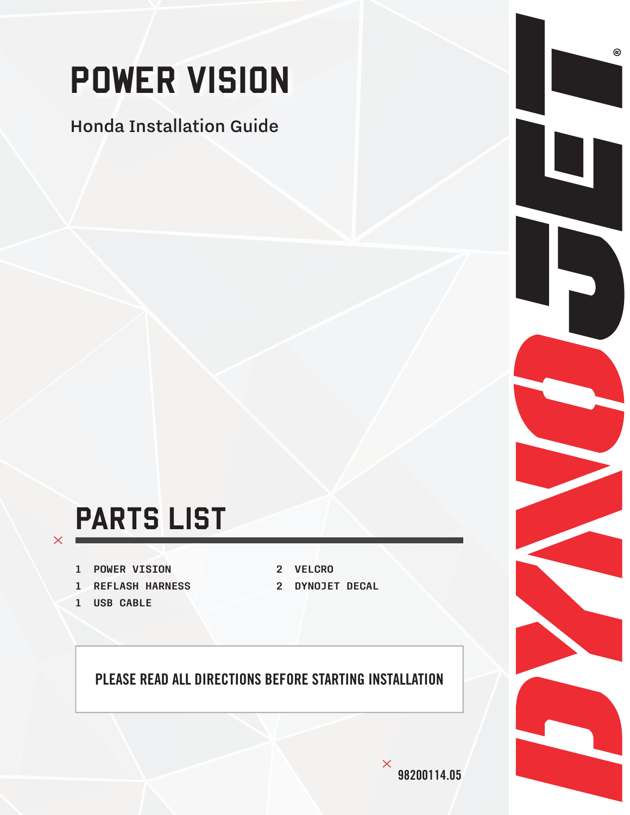# POWER VISION

#### Honda Installation Guide

#### PARTS LIST

- 1 POWER VISION
- 1 REFLASH HARNESS
- 1 USB CABLE

 $\times$ 

- 2 VELCRO
- 2 DYNOJET DECAL

#### PLEASE READ ALL DIRECTIONS BEFORE STARTING INSTALLATION

 $^\copyright$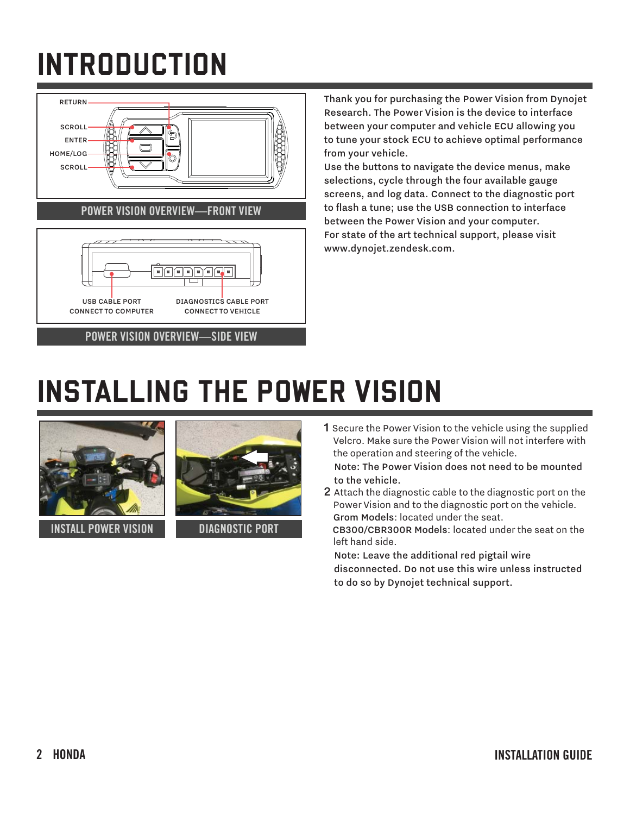## INTRODUCTION



Thank you for purchasing the Power Vision from Dynojet Research. The Power Vision is the device to interface between your computer and vehicle ECU allowing you to tune your stock ECU to achieve optimal performance from your vehicle.

Use the buttons to navigate the device menus, make selections, cycle through the four available gauge screens, and log data. Connect to the diagnostic port to flash a tune; use the USB connection to interface between the Power Vision and your computer. For state of the art technical support, please visit www.dynojet.zendesk.com.

#### INSTALLING THE POWER VISION



INSTALL POWER VISION



DIAGNOSTIC PORT

1 Secure the Power Vision to the vehicle using the supplied Velcro. Make sure the Power Vision will not interfere with the operation and steering of the vehicle.

 Note: The Power Vision does not need to be mounted to the vehicle.

2 Attach the diagnostic cable to the diagnostic port on the Power Vision and to the diagnostic port on the vehicle. Grom Models: located under the seat. CB300/CBR300R Models: located under the seat on the left hand side.

 Note: Leave the additional red pigtail wire disconnected. Do not use this wire unless instructed to do so by Dynojet technical support.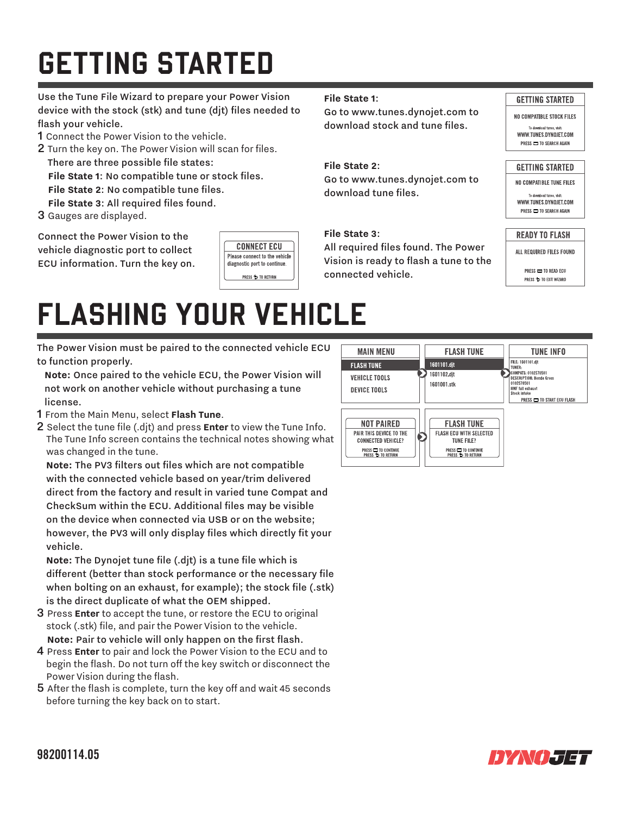## GETTING STARTED

Use the Tune File Wizard to prepare your Power Vision device with the stock (stk) and tune (djt) files needed to flash your vehicle.

- 1 Connect the Power Vision to the vehicle.
- 2 Turn the key on. The Power Vision will scan for files. There are three possible file states:

File State 1: No compatible tune or stock files.

- **File State 2: No compatible tune files.**
- File State 3: All required files found.
- 3 Gauges are displayed.

Connect the Power Vision to the vehicle diagnostic port to collect ECU information. Turn the key on.



#### **File State 1**:

Go to www.tunes.dynojet.com to download stock and tune files.

#### **File State 2**:

Go to www.tunes.dynojet.com to download tune files.

#### **File State 3**:

All required files found. The Power Vision is ready to flash a tune to the connected vehicle.

#### **GETTING STARTED**

NO COMPATIBLE STOCK FILES WWW THNES DYNOLET COM PRESS CO TO SEARCH AGAIN

#### **GETTING STARTED**

NO COMPATIBLE TUNE FILES

.<br>download tunes vi WWW.TUNES.DYNOJET.COM PRESS CO TO SEARCH AGAIN

#### **READY TO FLASH**

ALL REQUIRED FILES FOUND

#### PRESS CONTRACTOR READ PRESS 5 TO EXIT WIZARD

#### FLASHING YOUR VEHICLE

The Power Vision must be paired to the connected vehicle ECU to function properly.

 **Note:** Once paired to the vehicle ECU, the Power Vision will not work on another vehicle without purchasing a tune license.

- 1 From the Main Menu, select **Flash Tune**.
- 2 Select the tune file (.djt) and press **Enter** to view the Tune Info. The Tune Info screen contains the technical notes showing what was changed in the tune.

Note: The PV3 filters out files which are not compatible with the connected vehicle based on year/trim delivered direct from the factory and result in varied tune Compat and CheckSum within the ECU. Additional files may be visible on the device when connected via USB or on the website; however, the PV3 will only display files which directly fit your vehicle.

Note: The Dynojet tune file (.djt) is a tune file which is different (better than stock performance or the necessary file when bolting on an exhaust, for example); the stock file (.stk) is the direct duplicate of what the OEM shipped.

- 3 Press **Enter** to accept the tune, or restore the ECU to original stock (.stk) file, and pair the Power Vision to the vehicle. Note: Pair to vehicle will only happen on the first flash.
- 4 Press **Enter** to pair and lock the Power Vision to the ECU and to begin the flash. Do not turn off the key switch or disconnect the Power Vision during the flash.
- $5$  After the flash is complete, turn the key off and wait 45 seconds before turning the key back on to start.



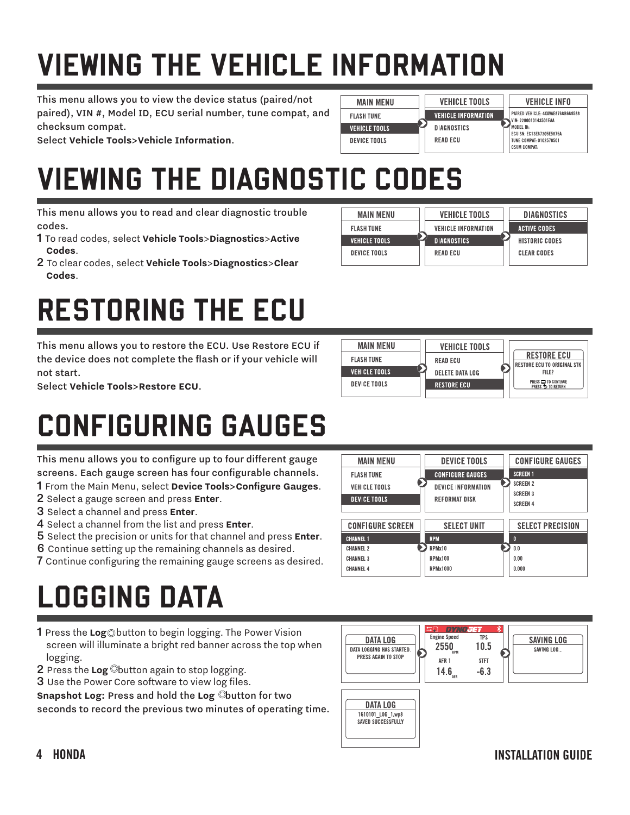## VIEWING THE VEHICLE INFORMATION

This menu allows you to view the device status (paired/not paired), VIN #, Model ID, ECU serial number, tune compat, and checksum compat.

Select **Vehicle Tools**>**Vehicle Information**.

#### VIEWING THE DIAGNOSTIC CODES

This menu allows you to read and clear diagnostic trouble codes.

- 1 To read codes, select **Vehicle Tools**>**Diagnostics**>**Active Codes**.
- 2 To clear codes, select **Vehicle Tools**>**Diagnostics**>**Clear Codes**.

#### RESTORING THE ECU

This menu allows you to restore the ECU. Use Restore ECU if the device does not complete the flash or if your vehicle will not start.

Select **Vehicle Tools**>**Restore ECU**.

#### CONFIGURING GAUGES

This menu allows you to configure up to four different gauge screens. Each gauge screen has four configurable channels. 1 From the Main Menu, select **Device Tools**>**Configure Gauges**.

- 2 Select a gauge screen and press **Enter**.
- 3 Select a channel and press **Enter**.
- 4 Select a channel from the list and press **Enter**.
- 5 Select the precision or units for that channel and press **Enter**.
- 6 Continue setting up the remaining channels as desired.
- **7** Continue configuring the remaining gauge screens as desired.

## LOGGING DATA

- 1 Press the **Log** button to begin logging. The Power Vision screen will illuminate a bright red banner across the top when logging.
- 2 Press the **Log** button again to stop logging.
- **3** Use the Power Core software to view log files.

**Snapshot Log: Press and hold the Log Cbutton for two** seconds to record the previous two minutes of operating time.





**DEVICE TOOLS** 

**CONFIGURE GAUGES** 

**REFORMAT DISK** 

**DEVICE INFORMATION** 



**VEHICLE TOOLS** 

**VEHICLE INFORMATION** 

**DIAGNOSTICS** 

**READ ECU** 

**MAIN MENU** 

**MAIN MENU** 

**FLASH THNF** 

**VEHICLE TOOLS** 

**DEVICE TOOLS** 

**FLASH THNF** 

**VEHICLE TOOLS** 

DEVICE TOOLS

**VEHICLE INFO** 

PAIRED VEHICLE: 4XAVAE876GB669588

VIN: 2200010143501EAA

HODEL ID:<br>ECU SN: EC13E67305E5875A

**TUNE COMPAT: 0102570501** 

MODEL ID-



**CONFIGURE GAUGES** 

**SCREEN 1 SCREEN 2** 

SCREEN 3

**SCREEN 4**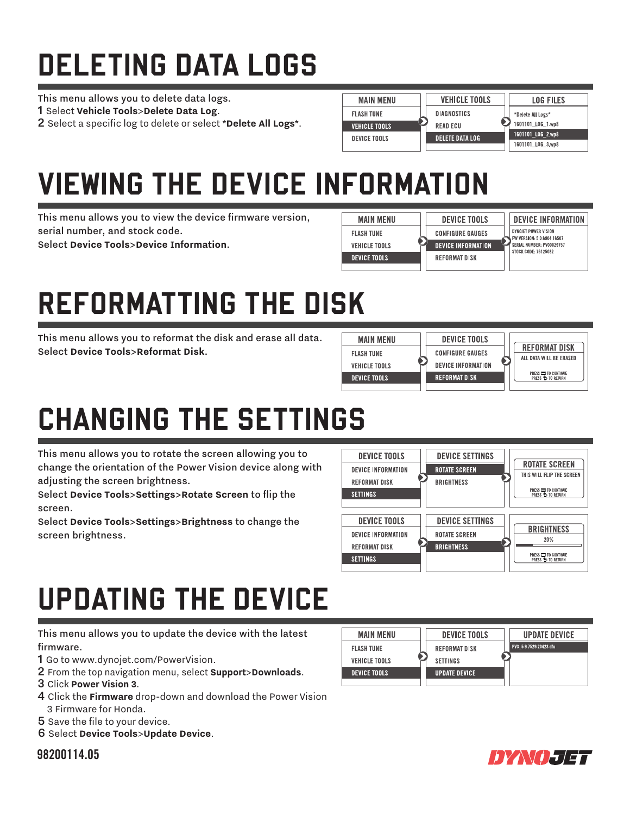## DELETING DATA LOGS

This menu allows you to delete data logs.

1 Select **Vehicle Tools**>**Delete Data Log**.

2 Select a specific log to delete or select \*Delete All Logs\*.

| <b>MAIN MENU</b>     | <b>VEHICLE TOOLS</b>                      | <b>LOG FILES</b>  |
|----------------------|-------------------------------------------|-------------------|
| <b>FLASH TUNE</b>    | DIAGNOSTICS                               | *Delete All Logs* |
| <b>VEHICLE TOOLS</b> | <b>READ ECU</b><br><b>DELETE DATA LOG</b> | 1601101 LOG 1.wp8 |
| <b>DEVICE TOOLS</b>  |                                           | 1601101 LOG 2 wp8 |
|                      |                                           | 1601101 LOG 3.wp8 |

#### VIEWING THE DEVICE INFORMATION

This menu allows you to view the device firmware version, serial number, and stock code.

Select **Device Tools**>**Device Information**.



## REFORMATTING THE DISK

This menu allows you to reformat the disk and erase all data. Select **Device Tools**>**Reformat Disk**.



## CHANGING THE SETTINGS

This menu allows you to rotate the screen allowing you to change the orientation of the Power Vision device along with adjusting the screen brightness.

Select **Device Tools**>**Settings**>**Rotate Screen** to fl ip the screen.

Select **Device Tools**>**Settings**>**Brightness** to change the screen brightness.



#### UPDATING THE DEVICE

This menu allows you to update the device with the latest firmware.

- 1 Go to www.dynojet.com/PowerVision.
- 2 From the top navigation menu, select **Support**>**Downloads**.
- 3 Click **Power Vision 3**.
- 4 Click the **Firmware** drop-down and download the Power Vision 3 Firmware for Honda.
- 5 Save the file to your device.
- 6 Select **Device Tools**>**Update Device**.

#### 98200114.05

| <b>MAIN MENU</b>     | <b>DEVICE TOOLS</b>  | <b>UPDATE DEVICE</b>   |  |
|----------------------|----------------------|------------------------|--|
| <b>FLASH TUNE</b>    | REFORMAT DISK        | PV3 5 9 7529 20423 dfu |  |
| <b>VEHICLE TOOLS</b> | <b>SETTINGS</b>      |                        |  |
| <b>DEVICE TOOLS</b>  | <b>UPDATE DEVICE</b> |                        |  |
|                      |                      |                        |  |

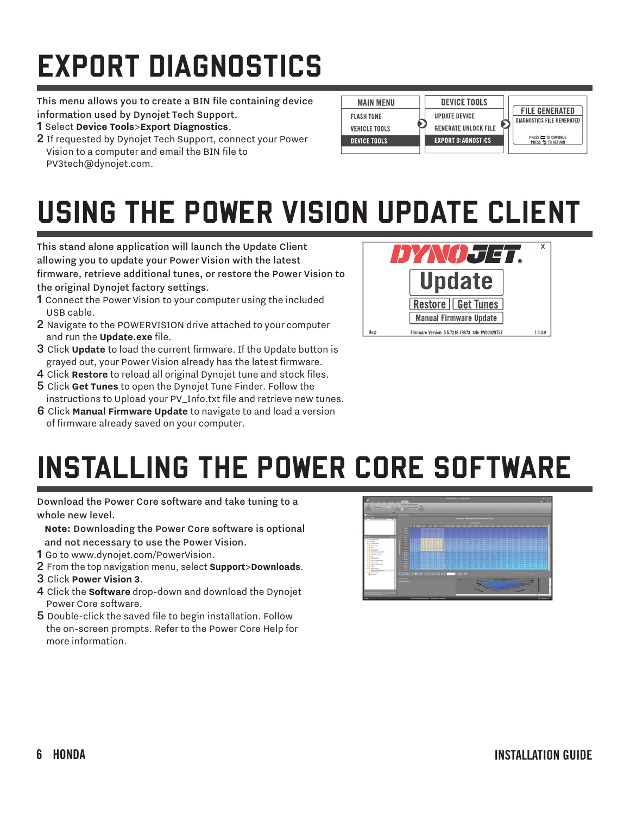## EXPORT DIAGNOSTICS

This menu allows you to create a BIN file containing device information used by Dynojet Tech Support.

- 1 Select **Device Tools**>**Export Diagnostics**.
- 2 If requested by Dynojet Tech Support, connect your Power Vision to a computer and email the BIN file to PV3tech@dynojet.com.



#### USING THE POWER VISION UPDATE CLIENT

This stand alone application will launch the Update Client allowing you to update your Power Vision with the latest firmware, retrieve additional tunes, or restore the Power Vision to the original Dynojet factory settings.

- 1 Connect the Power Vision to your computer using the included USB cable.
- 2 Navigate to the POWERVISION drive attached to your computer and run the **Update.exe** file.
- **3** Click **Update** to load the current firmware. If the Update button is grayed out, your Power Vision already has the latest firmware.
- 4 Click **Restore** to reload all original Dynojet tune and stock files.
- 5 Click **Get Tunes** to open the Dynojet Tune Finder. Follow the instructions to Upload your PV\_Info.txt file and retrieve new tunes.
- 6 Click **Manual Firmware Update** to navigate to and load a version of firmware already saved on your computer.



## INSTALLING THE POWER CORE SOFTWARE

Download the Power Core software and take tuning to a whole new level.

**Note:** Downloading the Power Core software is optional

- and not necessary to use the Power Vision.
- 1 Go to www.dynojet.com/PowerVision.
- 2 From the top navigation menu, select **Support**>**Downloads**.
- 3 Click **Power Vision 3**.
- 4 Click the **Software** drop-down and download the Dynojet Power Core software.
- 5 Double-click the saved file to begin installation. Follow the on-screen prompts. Refer to the Power Core Help for more information.